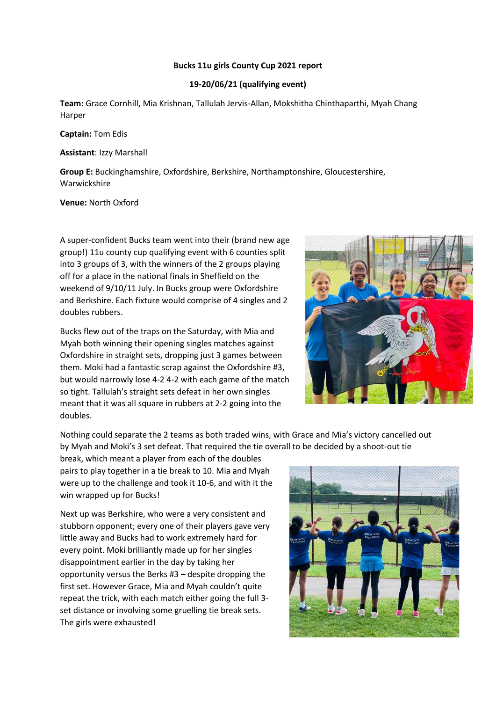## **Bucks 11u girls County Cup 2021 report**

## **19-20/06/21 (qualifying event)**

**Team:** Grace Cornhill, Mia Krishnan, Tallulah Jervis-Allan, Mokshitha Chinthaparthi, Myah Chang Harper

**Captain:** Tom Edis

**Assistant**: Izzy Marshall

**Group E:** Buckinghamshire, Oxfordshire, Berkshire, Northamptonshire, Gloucestershire, Warwickshire

**Venue:** North Oxford

A super-confident Bucks team went into their (brand new age group!) 11u county cup qualifying event with 6 counties split into 3 groups of 3, with the winners of the 2 groups playing off for a place in the national finals in Sheffield on the weekend of 9/10/11 July. In Bucks group were Oxfordshire and Berkshire. Each fixture would comprise of 4 singles and 2 doubles rubbers.

Bucks flew out of the traps on the Saturday, with Mia and Myah both winning their opening singles matches against Oxfordshire in straight sets, dropping just 3 games between them. Moki had a fantastic scrap against the Oxfordshire #3, but would narrowly lose 4-2 4-2 with each game of the match so tight. Tallulah's straight sets defeat in her own singles meant that it was all square in rubbers at 2-2 going into the doubles.



Nothing could separate the 2 teams as both traded wins, with Grace and Mia's victory cancelled out by Myah and Moki's 3 set defeat. That required the tie overall to be decided by a shoot-out tie

break, which meant a player from each of the doubles pairs to play together in a tie break to 10. Mia and Myah were up to the challenge and took it 10-6, and with it the win wrapped up for Bucks!

Next up was Berkshire, who were a very consistent and stubborn opponent; every one of their players gave very little away and Bucks had to work extremely hard for every point. Moki brilliantly made up for her singles disappointment earlier in the day by taking her opportunity versus the Berks #3 – despite dropping the first set. However Grace, Mia and Myah couldn't quite repeat the trick, with each match either going the full 3 set distance or involving some gruelling tie break sets. The girls were exhausted!